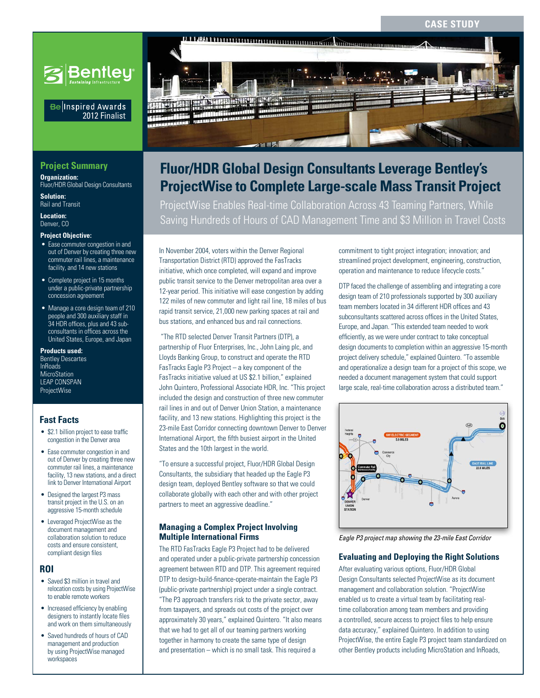#### **Case Study**



# **ProjectWise to Complete Large-scale Mass Transit Project Fluor/HDR Global Design Consultants Leverage Bentley's**

ProjectWise Enables Real-time Collaboration Across 43 Teaming Partners, While Saving Hundreds of Hours of CAD Management Time and \$3 Million in Travel Costs

In November 2004, voters within the Denver Regional Transportation District (RTD) approved the FasTracks initiative, which once completed, will expand and improve public transit service to the Denver metropolitan area over a 12-year period. This initiative will ease congestion by adding 122 miles of new commuter and light rail line, 18 miles of bus rapid transit service, 21,000 new parking spaces at rail and bus stations, and enhanced bus and rail connections.

 "The RTD selected Denver Transit Partners (DTP), a partnership of Fluor Enterprises, Inc., John Laing plc, and Lloyds Banking Group, to construct and operate the RTD FasTracks Eagle P3 Project – a key component of the FasTracks initiative valued at US \$2.1 billion," explained John Quintero, Professional Associate HDR, Inc. "This project included the design and construction of three new commuter rail lines in and out of Denver Union Station, a maintenance facility, and 13 new stations. Highlighting this project is the 23-mile East Corridor connecting downtown Denver to Denver International Airport, the fifth busiest airport in the United States and the 10th largest in the world.

"To ensure a successful project, Fluor/HDR Global Design Consultants, the subsidiary that headed up the Eagle P3 design team, deployed Bentley software so that we could collaborate globally with each other and with other project partners to meet an aggressive deadline."

#### **Managing a Complex Project Involving Multiple International Firms**

The RTD FasTracks Eagle P3 Project had to be delivered and operated under a public-private partnership concession agreement between RTD and DTP. This agreement required DTP to design-build-finance-operate-maintain the Eagle P3 (public-private partnership) project under a single contract. "The P3 approach transfers risk to the private sector, away from taxpayers, and spreads out costs of the project over approximately 30 years," explained Quintero. "It also means that we had to get all of our teaming partners working together in harmony to create the same type of design and presentation – which is no small task. This required a

commitment to tight project integration; innovation; and streamlined project development, engineering, construction, operation and maintenance to reduce lifecycle costs."

DTP faced the challenge of assembling and integrating a core design team of 210 professionals supported by 300 auxiliary team members located in 34 different HDR offices and 43 subconsultants scattered across offices in the United States, Europe, and Japan. "This extended team needed to work efficiently, as we were under contract to take conceptual design documents to completion within an aggressive 15-month project delivery schedule," explained Quintero. "To assemble and operationalize a design team for a project of this scope, we needed a document management system that could support large scale, real-time collaboration across a distributed team."



*Eagle P3 project map showing the 23-mile East Corridor*

#### **Evaluating and Deploying the Right Solutions**

After evaluating various options, Fluor/HDR Global Design Consultants selected ProjectWise as its document management and collaboration solution. "ProjectWise enabled us to create a virtual team by facilitating realtime collaboration among team members and providing a controlled, secure access to project files to help ensure data accuracy," explained Quintero. In addition to using ProjectWise, the entire Eagle P3 project team standardized on other Bentley products including MicroStation and InRoads,

## **Project Summary**

**Organization:**  Fluor/HDR Global Design Consultants

2012 Finalist

Be Inspired Awards

**Solution:**  Rail and Transit

**Location:**  Denver, CO

#### **Project Objective:**

- Ease commuter congestion in and out of Denver by creating three new commuter rail lines, a maintenance facility, and 14 new stations
- Complete project in 15 months under a public-private partnership concession agreement
- Manage a core design team of 210 people and 300 auxiliary staff in 34 HDR offices, plus and 43 subconsultants in offices across the United States, Europe, and Japan

#### **Products used:**

Bentley Descartes InRoads MicroStation LEAP CONSPAN ProjectWise

## **Fast Facts**

- \$2.1 billion project to ease traffic congestion in the Denver area
- Ease commuter congestion in and out of Denver by creating three new commuter rail lines, a maintenance facility, 13 new stations, and a direct link to Denver International Airport
- Designed the largest P3 mass transit project in the U.S. on an aggressive 15-month schedule
- Leveraged ProjectWise as the document management and collaboration solution to reduce costs and ensure consistent, compliant design files

#### **ROI**

- Saved \$3 million in travel and relocation costs by using ProjectWise to enable remote workers
- Increased efficiency by enabling designers to instantly locate files and work on them simultaneously
- Saved hundreds of hours of CAD management and production by using ProjectWise managed workspaces